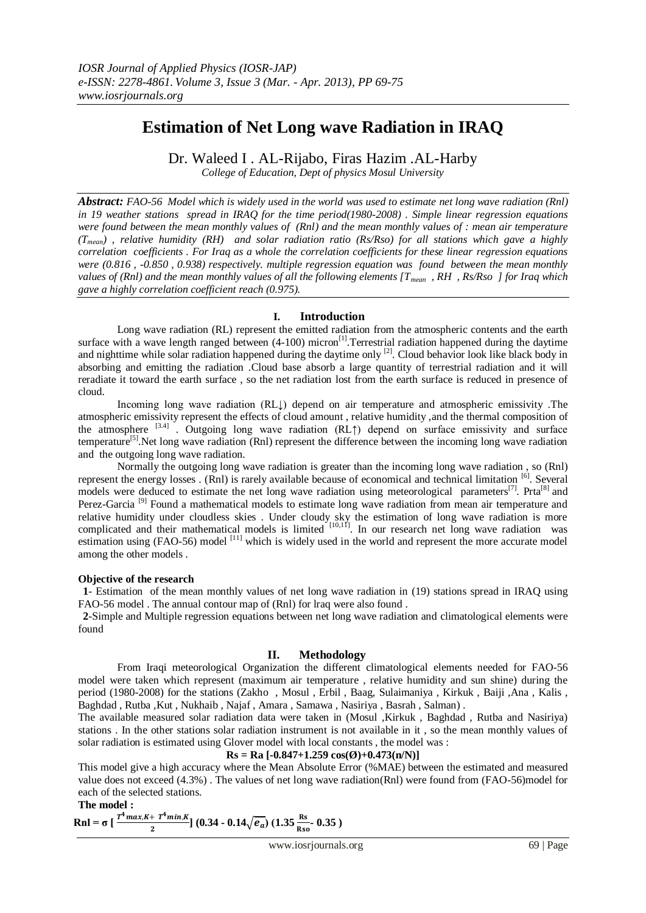# **Estimation of Net Long wave Radiation in IRAQ**

Dr. Waleed I . AL-Rijabo, Firas Hazim .AL-Harby

*College of Education, Dept of physics Mosul University*

*Abstract: FAO-56 Model which is widely used in the world was used to estimate net long wave radiation (Rnl) in 19 weather stations spread in IRAQ for the time period(1980-2008) . Simple linear regression equations were found between the mean monthly values of (Rnl) and the mean monthly values of : mean air temperature (Tmean) , relative humidity (RH) and solar radiation ratio (Rs/Rso) for all stations which gave a highly correlation coefficients . For Iraq as a whole the correlation coefficients for these linear regression equations were (0.816 , -0.850 , 0.938) respectively. multiple regression equation was found between the mean monthly values of (Rnl) and the mean monthly values of all the following elements [Tmean , RH , Rs/Rso ] for Iraq which gave a highly correlation coefficient reach (0.975).* 

### **I. Introduction**

Long wave radiation (RL) represent the emitted radiation from the atmospheric contents and the earth surface with a wave length ranged between  $(4-100)$  micron<sup>[1]</sup>. Terrestrial radiation happened during the daytime and nighttime while solar radiation happened during the daytime only <sup>[2]</sup>. Cloud behavior look like black body in absorbing and emitting the radiation .Cloud base absorb a large quantity of terrestrial radiation and it will reradiate it toward the earth surface , so the net radiation lost from the earth surface is reduced in presence of cloud.

Incoming long wave radiation (RL↓) depend on air temperature and atmospheric emissivity .The atmospheric emissivity represent the effects of cloud amount , relative humidity ,and the thermal composition of the atmosphere  $[3.4]$ . Outgoing long wave radiation (RL↑) depend on surface emissivity and surface temperature<sup>[5]</sup>.Net long wave radiation (Rnl) represent the difference between the incoming long wave radiation and the outgoing long wave radiation.

Normally the outgoing long wave radiation is greater than the incoming long wave radiation , so (Rnl) represent the energy losses . (Rnl) is rarely available because of economical and technical limitation [6]. Several models were deduced to estimate the net long wave radiation using meteorological parameters<sup>[7]</sup>. Prta<sup>[8]</sup> and Perez-Garcia<sup>[9]</sup> Found a mathematical models to estimate long wave radiation from mean air temperature and relative humidity under cloudless skies . Under cloudy sky the estimation of long wave radiation is more complicated and their mathematical models is limited  $[10,11]$ . In our research net long wave radiation was estimation using (FAO-56) model <sup>[11]</sup> which is widely used in the world and represent the more accurate model among the other models .

### **Objective of the research**

**1**- Estimation of the mean monthly values of net long wave radiation in (19) stations spread in IRAQ using FAO-56 model . The annual contour map of (Rnl) for lraq were also found .

**2**-Simple and Multiple regression equations between net long wave radiation and climatological elements were found

# **II. Methodology**

From Iraqi meteorological Organization the different climatological elements needed for FAO-56 model were taken which represent (maximum air temperature , relative humidity and sun shine) during the period (1980-2008) for the stations (Zakho , Mosul , Erbil , Baag, Sulaimaniya , Kirkuk , Baiji ,Ana , Kalis , Baghdad , Rutba ,Kut , Nukhaib , Najaf , Amara , Samawa , Nasiriya , Basrah , Salman) .

The available measured solar radiation data were taken in (Mosul ,Kirkuk , Baghdad , Rutba and Nasiriya) stations . In the other stations solar radiation instrument is not available in it , so the mean monthly values of solar radiation is estimated using Glover model with local constants , the model was :

## $\text{Rs} = \text{Ra}$  [-0.847+1.259  $\cos(\textcircled{0})+0.473(\text{n/N})$ ]

This model give a high accuracy where the Mean Absolute Error (%MAE) between the estimated and measured value does not exceed (4.3%) . The values of net long wave radiation(Rnl) were found from (FAO-56)model for each of the selected stations.

**The model :**

 $\left[ \frac{T^4 max,K + T^4 min,K}{2} \right] (0.34 - 0.14 \sqrt{e_a}) (1.35 \frac{\text{Rs}}{\text{Rso}} 0.35)$ **Rnl** =  $\sigma$   $\left[\frac{P_{max, n+1} - P_{min, n}}{2}\right]$  (0.34 - 0.14 $\sqrt{e_a}$ )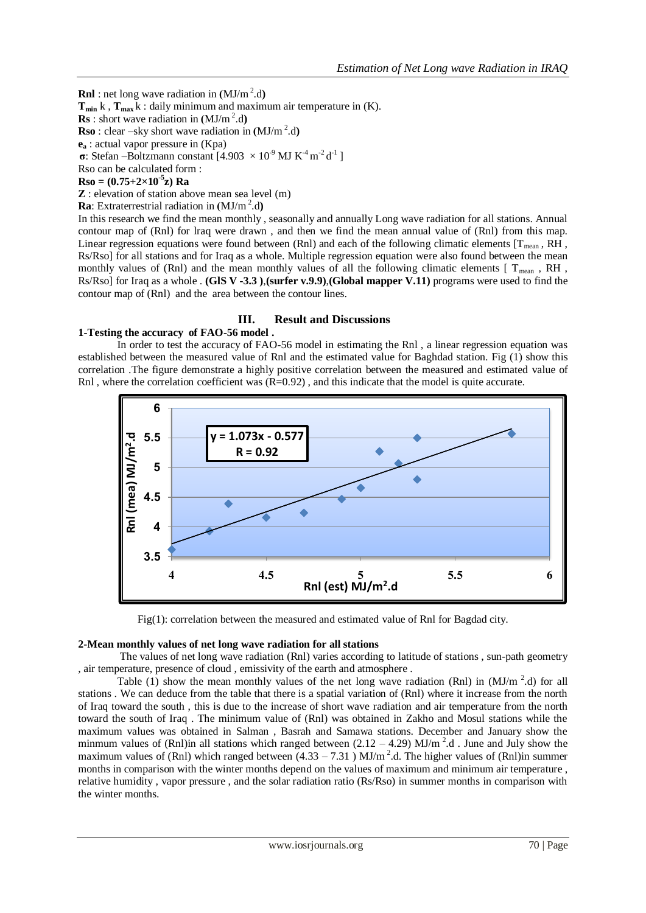**Rnl** : net long wave radiation in  $(MJ/m^2.d)$ 

**Tmin** k , **Tmax** k : daily minimum and maximum air temperature in (K).

**Rs** : short wave radiation in  $(MJ/m^2.d)$ 

**Rso** : clear –sky short wave radiation in  $(MJ/m^2.d)$ 

**e<sup>a</sup>** : actual vapor pressure in (Kpa)

**σ**: Stefan –Boltzmann constant  $[4.903 \times 10^{9} \text{ MJ K}^4 \text{m}^{-2} \text{d}^{-1}]$ 

Rso can be calculated form :

**Rso = (0.75+2×10-5 z) Ra**

**Z** : elevation of station above mean sea level (m)

**Ra**: Extraterrestrial radiation in  $(MJ/m^2.d)$ 

In this research we find the mean monthly , seasonally and annually Long wave radiation for all stations. Annual contour map of (Rnl) for lraq were drawn , and then we find the mean annual value of (Rnl) from this map. Linear regression equations were found between (Rnl) and each of the following climatic elements  $[T_{mean}, RH]$ , Rs/Rso] for all stations and for Iraq as a whole. Multiple regression equation were also found between the mean monthly values of (Rnl) and the mean monthly values of all the following climatic elements  $[T_{mean}, RH, T_{mean}]$ Rs/Rso] for Iraq as a whole . **(GlS V -3.3 )**,**(surfer v.9.9)**,**(Global mapper V.11)** programs were used to find the contour map of (Rnl) and the area between the contour lines.

### **III. Result and Discussions**

### **1-Testing the accuracy of FAO-56 model .**

In order to test the accuracy of FAO-56 model in estimating the Rnl , a linear regression equation was established between the measured value of Rnl and the estimated value for Baghdad station. Fig (1) show this correlation .The figure demonstrate a highly positive correlation between the measured and estimated value of Rnl, where the correlation coefficient was  $(R=0.92)$ , and this indicate that the model is quite accurate.



Fig(1): correlation between the measured and estimated value of Rnl for Bagdad city.

### **2-Mean monthly values of net long wave radiation for all stations**

The values of net long wave radiation (Rnl) varies according to latitude of stations , sun-path geometry , air temperature, presence of cloud , emissivity of the earth and atmosphere .

Table (1) show the mean monthly values of the net long wave radiation (Rnl) in  $(MJ/m<sup>2</sup>.d)$  for all stations . We can deduce from the table that there is a spatial variation of (Rnl) where it increase from the north of Iraq toward the south , this is due to the increase of short wave radiation and air temperature from the north toward the south of Iraq . The minimum value of (Rnl) was obtained in Zakho and Mosul stations while the maximum values was obtained in Salman , Basrah and Samawa stations. December and January show the minmum values of (Rnl)in all stations which ranged between  $(2.12 - 4.29)$  MJ/m<sup>2</sup>.d. June and July show the maximum values of (Rnl) which ranged between  $(4.33 - 7.31)$  MJ/m<sup>2</sup>.d. The higher values of (Rnl)in summer months in comparison with the winter months depend on the values of maximum and minimum air temperature , relative humidity , vapor pressure , and the solar radiation ratio (Rs/Rso) in summer months in comparison with the winter months.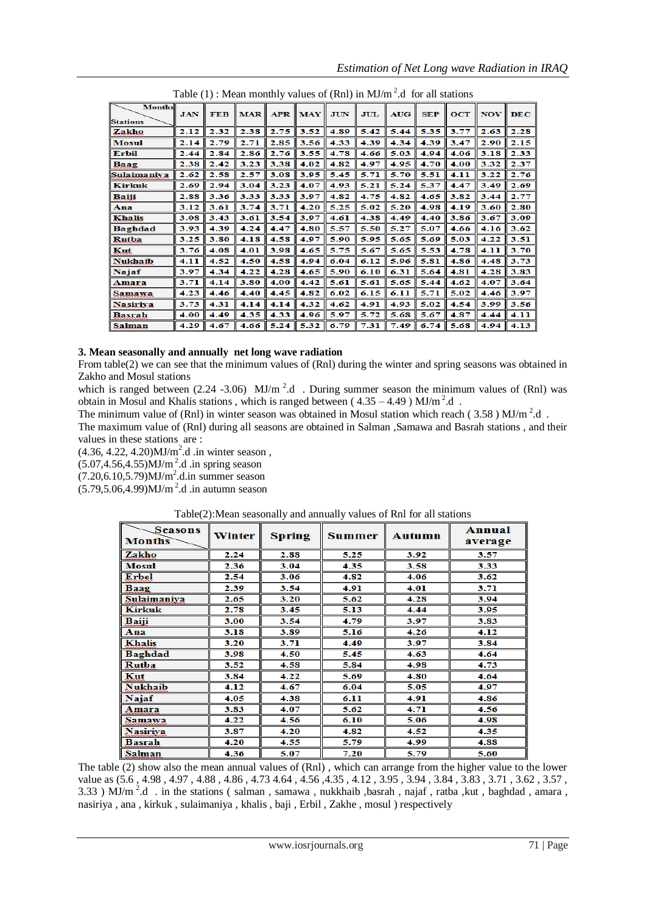| Table $(1)$ : Mean monthly values of $(Rnl)$ in MJ/m <sup>-</sup> .d for all stations |            |            |            |            |      |            |            |            |            |      |            |            |
|---------------------------------------------------------------------------------------|------------|------------|------------|------------|------|------------|------------|------------|------------|------|------------|------------|
| <b>Months</b><br><b>Stations</b>                                                      | <b>JAN</b> | <b>FEB</b> | <b>MAR</b> | <b>APR</b> | MAY  | <b>JUN</b> | <b>JUL</b> | <b>AUG</b> | <b>SEP</b> | OCT  | <b>NOV</b> | <b>DEC</b> |
| Zakho                                                                                 | 2.12       | 2.32       | 2.38       | 2.75       | 3.52 | 4.89       | 5.42       | 5.44       | 5.35       | 3.77 | 2.63       | 2.28       |
| Mosul                                                                                 | 2.14       | 2.79       | 2.71       | 2.85       | 3.56 | 4.33       | 4.39       | 4.34       | 4.39       | 3.47 | 2.90       | 2.15       |
| <b>Erbil</b>                                                                          | 2.44       | 2.84       | 2.86       | 2.76       | 3.55 | 4.78       | 4.66       | 5.03       | 4.94       | 4.06 | 3.18       | 2.33       |
| Baag                                                                                  | 2.38       | 2.42       | 3.23       | 3.38       | 4.02 | 4.82       | 4.97       | 4.95       | 4.70       | 4.00 | 3.32       | 2.37       |
| Sulaimaniya                                                                           | 2.62       | 2.58       | 2.57       | 3.08       | 3.95 | 5.45       | 5.71       | 5.70       | 5.51       | 4.11 | 3.22       | 2.76       |
| <b>Kirkuk</b>                                                                         | 2.69       | 2.94       | 3.04       | 3.23       | 4.07 | 4.93       | 5.21       | 5.24       | 5.37       | 4.47 | 3.49       | 2.69       |
| <b>Baiji</b>                                                                          | 2.88       | 3.36       | 3.33       | 3.33       | 3.97 | 4.82       | 4.75       | 4.82       | 4.65       | 3.82 | 3.44       | 2.77       |
| Ana                                                                                   | 3.12       | 3.61       | 3.74       | 3.71       | 4.20 | 5.25       | 5.02       | 5.20       | 4.98       | 4.19 | 3.60       | 2.80       |
| <b>Khalis</b>                                                                         | 3.08       | 3.43       | 3.61       | 3.54       | 3.97 | 4.61       | 4.38       | 4.49       | 4.40       | 3.86 | 3.67       | 3.09       |
| <b>Baghdad</b>                                                                        | 3.93       | 4.39       | 4.24       | 4.47       | 4.80 | 5.57       | 5.50       | 5.27       | 5.07       | 4.66 | 4.16       | 3.62       |
| <b>Rutba</b>                                                                          | 3.25       | 3.80       | 4.18       | 4.58       | 4.97 | 5.90       | 5.95       | 5.65       | 5.69       | 5.03 | 4.22       | 3.51       |
| Kut                                                                                   | 3.76       | 4.08       | 4.01       | 3.98       | 4.65 | 5.75       | 5.67       | 5.65       | 5.53       | 4.78 | 4.11       | 3.70       |
| <b>Nukhaib</b>                                                                        | 4.11       | 4.52       | 4.50       | 4.58       | 4.94 | 6.04       | 6.12       | 5.96       | 5.81       | 4.86 | 4.48       | 3.73       |
| Najaf                                                                                 | 3.97       | 4.34       | 4.22       | 4.28       | 4.65 | 5.90       | 6.10       | 6.31       | 5.64       | 4.81 | 4.28       | 3.83       |
| Amara                                                                                 | 3.71       | 4.14       | 3.80       | 4.00       | 4.42 | 5.61       | 5.61       | 5.65       | 5.44       | 4.62 | 4.07       | 3.64       |
| Samawa                                                                                | 4.23       | 4.46       | 4.40       | 4.45       | 4.82 | 6.02       | 6.15       | 6.11       | 5.71       | 5.02 | 4.46       | 3.97       |
| <b>Nasiriva</b>                                                                       | 3.73       | 4.31       | 4.14       | 4.14       | 4.32 | 4.62       | 4.91       | 4.93       | 5.02       | 4.54 | 3.99       | 3.56       |
| <b>Basrah</b>                                                                         | 4.00       | 4.49       | 4.35       | 4.33       | 4.96 | 5.97       | 5.72       | 5.68       | 5.67       | 4.87 | 4.44       | 4.11       |
| Salman                                                                                | 4.29       | 4.67       | 4.66       | 5.24       | 5.32 | 6.79       | 7.31       | 7.49       | 6.74       | 5.68 | 4.94       | 4.13       |

*Estimation of Net Long wave Radiation in IRAQ*

#### $T_{\rm H}$  : Mean monthly values of  $\frac{1}{2}$  in  $\frac{1}{2}$  in MJ/m  $\frac{2}{3}$  in MJ/m  $\frac{2}{3}$  in MJ/m  $\frac{2}{3}$  in MJ/m  $\frac{2}{3}$  in MJ/m  $\frac{2}{3}$  in MJ/m  $\frac{2}{3}$  in MJ/m  $\frac{2}{3}$  in MJ/m  $\frac{2}{3}$  in MJ/m  $\frac{2}{3}$  in .d for all stations

# **3. Mean seasonally and annually net long wave radiation**

From table(2) we can see that the minimum values of (Rnl) during the winter and spring seasons was obtained in Zakho and Mosul stations

which is ranged between  $(2.24 - 3.06)$  MJ/m<sup>2</sup>.d . During summer season the minimum values of (Rnl) was obtain in Mosul and Khalis stations, which is ranged between ( $4.35 - 4.49$ ) MJ/m<sup>2</sup>.d.

The minimum value of (Rnl) in winter season was obtained in Mosul station which reach (3.58) MJ/m<sup>2</sup>.d.

The maximum value of (Rnl) during all seasons are obtained in Salman ,Samawa and Basrah stations , and their values in these stations are :

 $(4.36, 4.22, 4.20)$ MJ/m<sup>2</sup>.d .in winter season,

 $(5.07, 4.56, 4.55)$ MJ/m<sup>2</sup>.d .in spring season

 $(7.20, 6.10, 5.79)$ MJ/m<sup>2</sup>.d.in summer season

 $(5.79, 5.06, 4.99)$ MJ/m<sup>2</sup>.d .in autumn season

# Table(2):Mean seasonally and annually values of Rnl for all stations

| <i>Seasons</i><br><b>Months</b> | Winter | <b>Spring</b> | <b>Summer</b> | Autumn | Annual<br>average |  |
|---------------------------------|--------|---------------|---------------|--------|-------------------|--|
| Zakho                           | 2.24   | 2.88          | 5.25          | 3.92   | 3.57              |  |
| <b>Mosul</b>                    | 2.36   | 3.04          | 4.35          | 3.58   | 3.33              |  |
| Erbel                           | 2.54   | 3.06          | 4.82          | 4.06   | 3.62              |  |
| Baag                            | 2.39   | 3.54          | 4.91          | 4.01   | 3.71              |  |
| Sulaimaniya                     | 2.65   | 3.20          | 5.62          | 4.28   | 3.94              |  |
| <b>Kirkuk</b>                   | 2.78   | 3.45          | 5.13          | 4.44   | 3.95              |  |
| <b>Baiji</b>                    | 3.00   | 3.54          | 4.79          | 3.97   | 3.83              |  |
| Ana                             | 3.18   | 3.89          | 5.16          | 4.26   | 4.12              |  |
| <b>Khalis</b>                   | 3.20   | 3.71          | 4.49          | 3.97   | 3.84              |  |
| <b>Baghdad</b>                  | 3.98   | 4.50          | 5.45          | 4.63   | 4.64              |  |
| Rutba                           | 3.52   | 4.58          | 5.84          | 4.98   | 4.73              |  |
| Kut                             | 3.84   | 4.22          | 5.69          | 4.80   | 4.64              |  |
| <b>Nukhaib</b>                  | 4.12   | 4.67          | 6.04          | 5.05   | 4.97              |  |
| Najaf                           | 4.05   | 4.38          | 6.11          | 4.91   | 4.86              |  |
| Amara                           | 3.83   | 4.07          | 5.62          | 4.71   | 4.56              |  |
| Samawa                          | 4.22   | 4.56          | 6.10          | 5.06   | 4.98              |  |
| <b>Nasiriva</b>                 | 3.87   | 4.20          | 4.82          | 4.52   | 4.35              |  |
| Basrah                          | 4.20   | 4.55          | 5.79          | 4.99   | 4.88              |  |
| Salman                          | 4.36   | 5.07          | 7.20          | 5.79   | 5.60              |  |

The table (2) show also the mean annual values of (Rnl) , which can arrange from the higher value to the lower value as (5.6 , 4.98 , 4.97 , 4.88 , 4.86 , 4.73 4.64 , 4.56 ,4.35 , 4.12 , 3.95 , 3.94 , 3.84 , 3.83 , 3.71 , 3.62 , 3.57 , 3.33 ) MJ/m<sup>2</sup>.d . in the stations (salman, samawa, nukkhaib, basrah, najaf, ratba, kut, baghdad, amara, nasiriya , ana , kirkuk , sulaimaniya , khalis , baji , Erbil , Zakhe , mosul ) respectively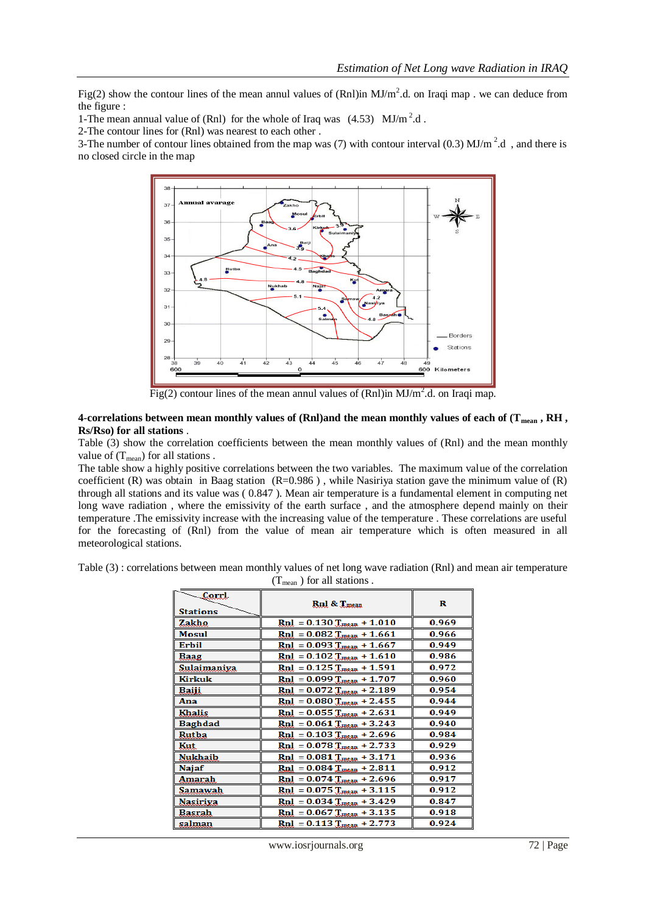Fig(2) show the contour lines of the mean annul values of (Rnl)in  $MJ/m<sup>2</sup>$ .d. on Iraqi map . we can deduce from the figure :

1-The mean annual value of (Rnl) for the whole of Iraq was  $(4.53)$  MJ/m<sup>2</sup>.d.

2-The contour lines for (Rnl) was nearest to each other .

3-The number of contour lines obtained from the map was (7) with contour interval (0.3) MJ/m<sup>2</sup>.d, and there is no closed circle in the map



Fig(2) contour lines of the mean annul values of  $(Rn)$ in MJ/m<sup>2</sup>.d. on Iraqi map.

### **4**-**correlations between mean monthly values of (Rnl)and the mean monthly values of each of (Tmean , RH , Rs/Rso) for all stations** .

Table (3) show the correlation coefficients between the mean monthly values of (Rnl) and the mean monthly value of  $(T_{mean})$  for all stations.

The table show a highly positive correlations between the two variables. The maximum value of the correlation coefficient (R) was obtain in Baag station (R=0.986), while Nasiriya station gave the minimum value of  $(R)$ through all stations and its value was ( 0.847 ). Mean air temperature is a fundamental element in computing net long wave radiation , where the emissivity of the earth surface , and the atmosphere depend mainly on their temperature .The emissivity increase with the increasing value of the temperature . These correlations are useful for the forecasting of (Rnl) from the value of mean air temperature which is often measured in all meteorological stations.

Table (3) : correlations between mean monthly values of net long wave radiation (Rnl) and mean air temperature  $(T_{mean})$  for all stations.

| $\overline{\phantom{m}}$ comb<br><b>Stations</b> | Rnl & Tmean                      | R     |
|--------------------------------------------------|----------------------------------|-------|
| Zakho                                            | $Rnl = 0.130$ $T_{mean} + 1.010$ | 0.969 |
| <b>Mosul</b>                                     | $Rnl = 0.082$ $T_{mean} + 1.661$ | 0.966 |
| <b>Erbil</b>                                     | $Rnl = 0.093$ $T_{mean} + 1.667$ | 0.949 |
| Baag                                             | $Rnl = 0.102$ $T_{mean} + 1.610$ | 0.986 |
| Sulaimaniya                                      | $Rnl = 0.125$ $T_{mean} + 1.591$ | 0.972 |
| Kirkuk                                           | $Rnl = 0.099$ $T_{mean} + 1.707$ | 0.960 |
| Baiji                                            | $Rnl = 0.072$ $T_{mean} + 2.189$ | 0.954 |
| Ana                                              | $Rnl = 0.080$ $T_{mean} + 2.455$ | 0.944 |
| <b>Khalis</b>                                    | $Rnl = 0.055$ $T_{mean} + 2.631$ | 0.949 |
| <b>Baghdad</b>                                   | $Rnl = 0.061$ $T_{mean} + 3.243$ | 0.940 |
| Rutba                                            | $Rnl = 0.103$ $T_{mean} + 2.696$ | 0.984 |
| Kut                                              | $Rnl = 0.078$ $T_{mean} + 2.733$ | 0.929 |
| Nukhaib                                          | $Rnl = 0.081$ $T_{mean} + 3.171$ | 0.936 |
| Najaf                                            | $Rnl = 0.084$ $T_{mean} + 2.811$ | 0.912 |
| Amarah                                           | $Rnl = 0.074$ $T_{mean} + 2.696$ | 0.917 |
| Samawah                                          | $Rnl = 0.075$ $T_{mean} + 3.115$ | 0.912 |
| <b>Nasiriya</b>                                  | $Rnl = 0.034$ $T_{mean} + 3.429$ | 0.847 |
| Basrah                                           | $Rnl = 0.067$ $T_{mean} + 3.135$ | 0.918 |
| salman                                           | $Rnl = 0.113$ $T_{mean} + 2.773$ | 0.924 |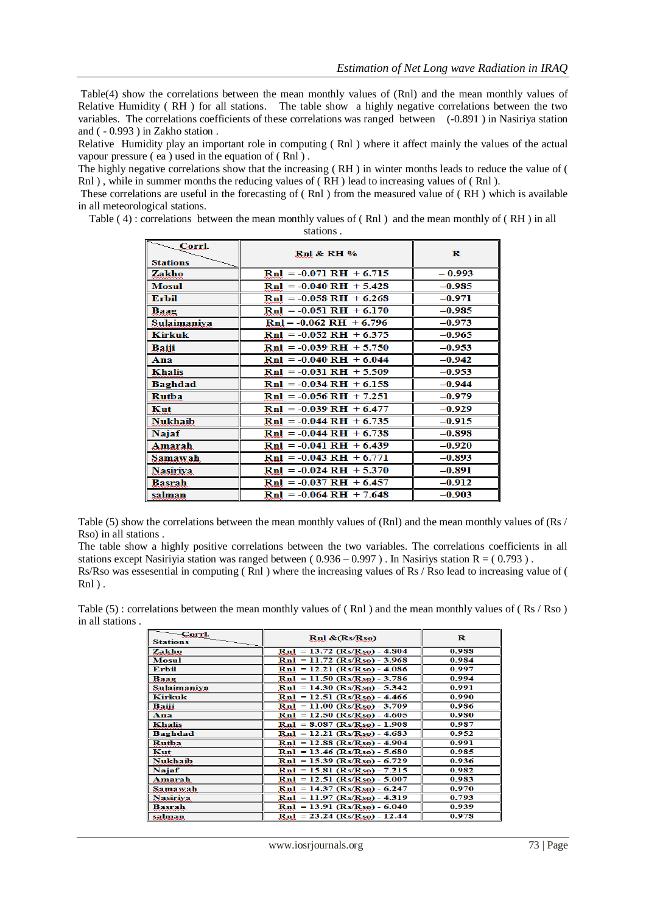Table(4) show the correlations between the mean monthly values of (Rnl) and the mean monthly values of Relative Humidity ( RH ) for all stations. The table show a highly negative correlations between the two variables. The correlations coefficients of these correlations was ranged between (-0.891 ) in Nasiriya station and ( - 0.993 ) in Zakho station .

Relative Humidity play an important role in computing ( Rnl ) where it affect mainly the values of the actual vapour pressure ( ea ) used in the equation of ( Rnl ) .

The highly negative correlations show that the increasing ( RH ) in winter months leads to reduce the value of ( Rnl), while in summer months the reducing values of (RH) lead to increasing values of (Rnl).

These correlations are useful in the forecasting of ( Rnl ) from the measured value of ( RH ) which is available in all meteorological stations.

Table ( 4) : correlations between the mean monthly values of ( Rnl ) and the mean monthly of ( RH ) in all

| Corrl.<br><b>Stations</b> | <b>Rnl &amp; RH %</b>                    | R        |
|---------------------------|------------------------------------------|----------|
| Zakho                     | $Rnl = -0.071 RH + 6.715$                | $-0.993$ |
| <b>Mosul</b>              | $Ru = -0.040 RH + 5.428$                 | $-0.985$ |
| <b>Erbil</b>              | $Ru = -0.058 RH + 6.268$                 | $-0.971$ |
| Baag                      | $Rnl = -0.051 RH + 6.170$                | $-0.985$ |
| Sulaimaniva               | $RuI = -0.062 RH + 6.796$                | $-0.973$ |
| <b>Kirkuk</b>             | $RuI = -0.052 RH + 6.375$                | $-0.965$ |
| Baiji                     | $RuI = -0.039 RH + 5.750$                | $-0.953$ |
| Ana                       | $Rnl = -0.040 RH + 6.044$                | $-0.942$ |
| <b>Khalis</b>             | $RuI = -0.031 RH + 5.509$                | $-0.953$ |
| Baghdad                   | $RuI = -0.034 RH + 6.158$                | $-0.944$ |
| Rutba                     | $Rnl = -0.056 RH + 7.25l$                | $-0.979$ |
| Kut                       | $RuI = -0.039 RH + 6.477$                | $-0.929$ |
| <b>Nukhaib</b>            | $Rnl = -0.044 RH + 6.735$                | $-0.915$ |
| <b>Najaf</b>              | $RuI = -0.044 RH + 6.738$                | $-0.898$ |
| Amarah                    | $Rnl = -0.041 RH + 6.439$                | $-0.920$ |
| Samawah                   | $Rnl = -0.043 RH + 6.771$                | $-0.893$ |
| <b>Nasiriya</b>           | $Rnl = -0.024 RH + 5.370$                | $-0.891$ |
| Basrah                    | $\text{Rn1} = -0.037 \text{ RH} + 6.457$ | $-0.912$ |
| salman                    | $Ru = -0.064 RH + 7.648$                 | $-0.903$ |

Table (5) show the correlations between the mean monthly values of (Rnl) and the mean monthly values of (Rs / Rso) in all stations .

The table show a highly positive correlations between the two variables. The correlations coefficients in all stations except Nasiriyia station was ranged between ( $0.936 - 0.997$ ). In Nasiriys station R = ( $0.793$ ).

Rs/Rso was essesential in computing ( Rnl ) where the increasing values of Rs / Rso lead to increasing value of ( Rnl ) .

Table (5) : correlations between the mean monthly values of (Rnl) and the mean monthly values of (Rs / Rso) in all stations .

| -Corrl.<br><b>Stations</b> | $Rnl \& (Rs/Rso)$              | R     |
|----------------------------|--------------------------------|-------|
| Zakho                      | $Ru = 13.72$ (Rs/Rso) - 4.804  | 0.988 |
| <b>Mosul</b>               | $Ru = 11.72 (Rs/R50) - 3.968$  | 0.984 |
| Erbil                      | $Ru = 12.21 (Rs/R50) - 4.086$  | 0.997 |
| Baag                       | $Rnl = 11.50 (Rs/R50) - 3.786$ | 0.994 |
| Sulaimaniya                | $Rnl = 14.30 (Rs/Rso) - 5.342$ | 0.991 |
| <b>Kirkuk</b>              | $Rnl = 12.51 (Rs/Rso) - 4.466$ | 0.990 |
| Baiji                      | $Rnl = 11.00 (Rs/Rso) - 3.709$ | 0.986 |
| Ana                        | $RuI = 12.50 (Rs/Rso) - 4.605$ | 0.980 |
| Khalis                     | $Ru = 8.087 (Rs/R50) - 1.908$  | 0.987 |
| Baghdad                    | $Rnl = 12.21 (Rs/Rso) - 4.683$ | 0.952 |
| Rutba                      | $Rnl = 12.88 (Rs/Rso) - 4.904$ | 0.991 |
| Kut                        | $Rnl = 13.46 (Rs/Rso) - 5.680$ | 0.985 |
| <b>Nukhaib</b>             | $Ru = 15.39$ (Rs/Rso) - 6.729  | 0.936 |
| Najaf                      | $Ru = 15.81 (Rs/Rso) - 7.215$  | 0.982 |
| Amarah                     | $Ru = 12.51 (Rs/Rso) - 5.007$  | 0.983 |
| Samawah                    | $Rnl = 14.37 (Rs/R50) - 6.247$ | 0.970 |
| <b>Nasiriya</b>            | $Rnl = 11.97 (Rs/Rso) - 4.319$ | 0.793 |
| <b>Basrah</b>              | $Rnl = 13.91 (Rs/R50) - 6.040$ | 0.939 |
| salman                     | $RuI = 23.24 (Rs/Rso) - 12.44$ | 0.978 |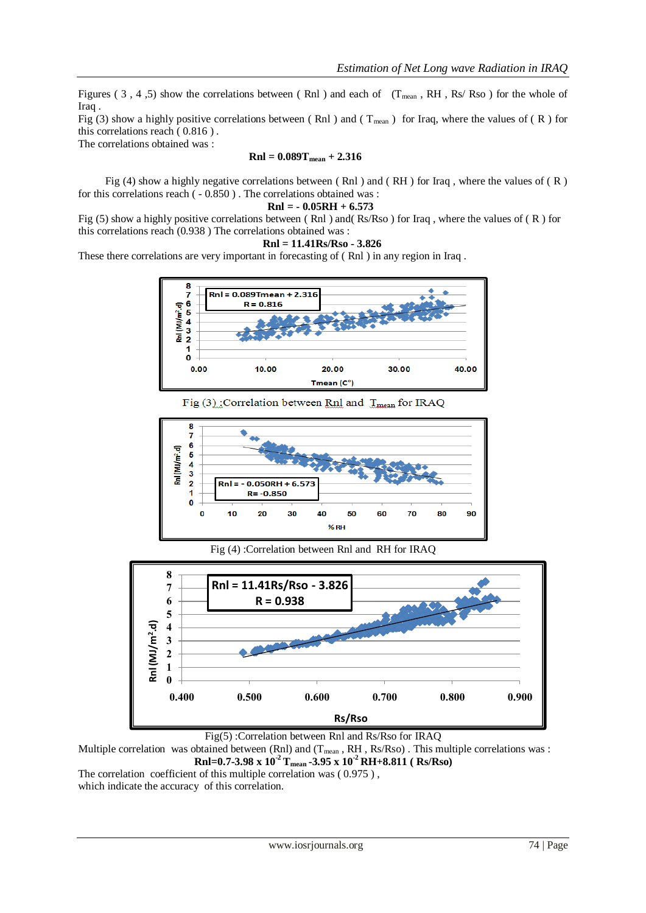Figures ( 3, 4, 5) show the correlations between (Rnl) and each of ( $T_{mean}$ , RH, Rs/ Rso) for the whole of Iraq .

Fig (3) show a highly positive correlations between (Rnl) and ( $T_{mean}$ ) for Iraq, where the values of (R) for this correlations reach ( 0.816 ) .

The correlations obtained was :

$$
Rnl = 0.089T_{mean} + 2.316
$$

Fig (4) show a highly negative correlations between (Rnl) and (RH) for Iraq, where the values of (R) for this correlations reach ( - 0.850 ) . The correlations obtained was :

$$
Rnl = -0.05RH + 6.573
$$

Fig (5) show a highly positive correlations between (Rnl) and (Rs/Rso) for Iraq, where the values of (R) for this correlations reach (0.938 ) The correlations obtained was :

$$
Rnl = 11.41Rs/Rso - 3.826
$$

These there correlations are very important in forecasting of ( Rnl ) in any region in Iraq .



Fig  $(3)$ : Correlation between Rnl and  $T_{\text{mean}}$  for IRAQ



Fig (4) :Correlation between Rnl and RH for IRAQ



Fig(5) :Correlation between Rnl and Rs/Rso for IRAQ

Multiple correlation was obtained between (Rnl) and  $(T_{mean}, RH, Rs/Rso)$ . This multiple correlations was : **Rnl=0.7-3.98 x 10-2 Tmean -3.95 x 10-2 RH+8.811 ( Rs/Rso)**

which indicate the accuracy of this correlation.

The correlation coefficient of this multiple correlation was  $(0.975)$ ,